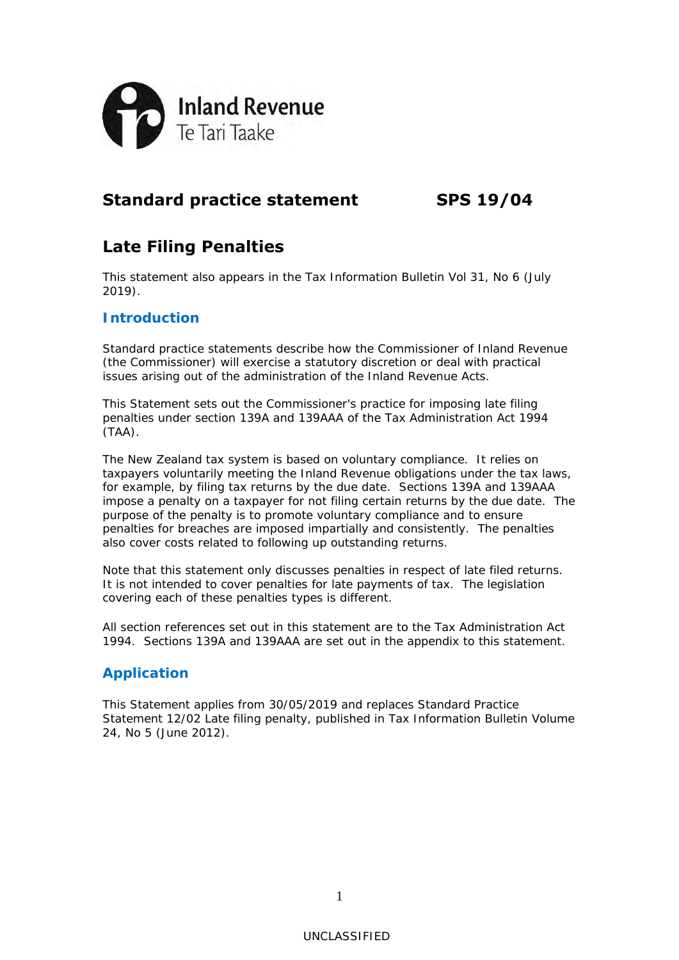

# **Standard practice statement SPS 19/04**

# **Late Filing Penalties**

This statement also appears in the *Tax Information Bulletin* Vol 31, No 6 (July 2019).

## **Introduction**

Standard practice statements describe how the Commissioner of Inland Revenue (the Commissioner) will exercise a statutory discretion or deal with practical issues arising out of the administration of the Inland Revenue Acts.

This Statement sets out the Commissioner's practice for imposing late filing penalties under section 139A and 139AAA of the Tax Administration Act 1994 (TAA).

The New Zealand tax system is based on voluntary compliance. It relies on taxpayers voluntarily meeting the Inland Revenue obligations under the tax laws, for example, by filing tax returns by the due date. Sections 139A and 139AAA impose a penalty on a taxpayer for not filing certain returns by the due date. The purpose of the penalty is to promote voluntary compliance and to ensure penalties for breaches are imposed impartially and consistently. The penalties also cover costs related to following up outstanding returns.

Note that this statement only discusses penalties in respect of late filed returns. It is not intended to cover penalties for late payments of tax. The legislation covering each of these penalties types is different.

All section references set out in this statement are to the Tax Administration Act 1994. Sections 139A and 139AAA are set out in the appendix to this statement.

## **Application**

This Statement applies from 30/05/2019 and replaces Standard Practice Statement 12/02 *Late filing penalty*, published in *Tax Information Bulletin* Volume 24, No 5 (June 2012).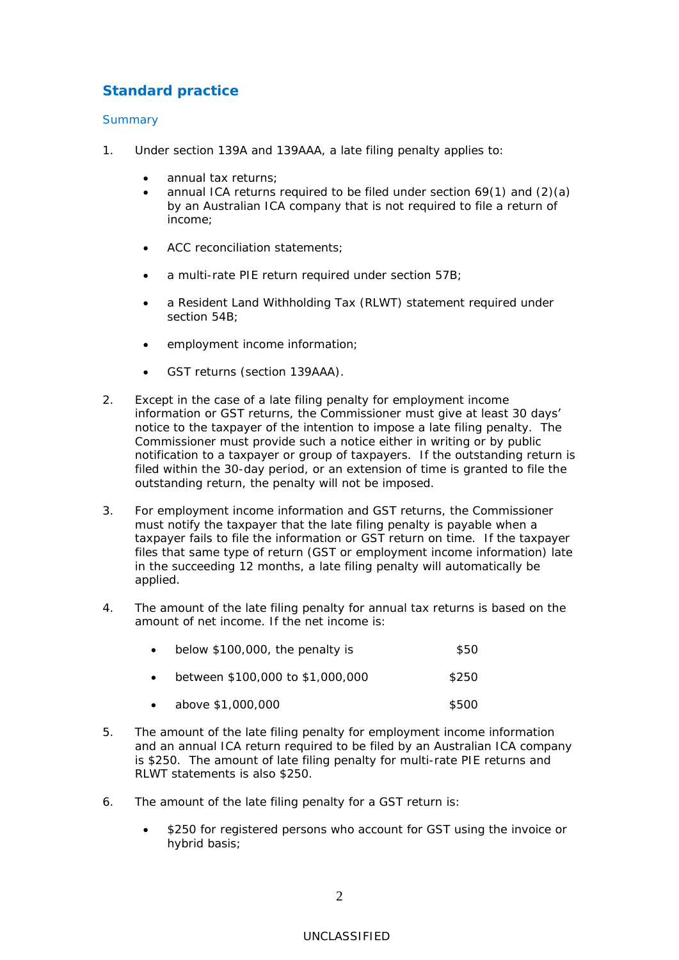## **Standard practice**

### **Summary**

- 1. Under section 139A and 139AAA, a late filing penalty applies to:
	- annual tax returns;
	- annual ICA returns required to be filed under section 69(1) and (2)(a) by an Australian ICA company that is not required to file a return of income;
	- ACC reconciliation statements;
	- a multi-rate PIE return required under section 57B;
	- a Resident Land Withholding Tax (RLWT) statement required under section 54B;
	- employment income information;
	- GST returns (section 139AAA).
- 2. Except in the case of a late filing penalty for employment income information or GST returns, the Commissioner must give at least 30 days' notice to the taxpayer of the intention to impose a late filing penalty. The Commissioner must provide such a notice either in writing or by public notification to a taxpayer or group of taxpayers. If the outstanding return is filed within the 30-day period, or an extension of time is granted to file the outstanding return, the penalty will not be imposed.
- 3. For employment income information and GST returns, the Commissioner must notify the taxpayer that the late filing penalty is payable when a taxpayer fails to file the information or GST return on time. If the taxpayer files that same type of return (GST or employment income information) late in the succeeding 12 months, a late filing penalty will automatically be applied.
- 4. The amount of the late filing penalty for annual tax returns is based on the amount of net income. If the net income is:

| $\bullet$ | below \$100,000, the penalty is  | \$50  |
|-----------|----------------------------------|-------|
| $\bullet$ | between \$100,000 to \$1,000,000 | \$250 |

- $above $1,000,000$   $$500$
- 5. The amount of the late filing penalty for employment income information and an annual ICA return required to be filed by an Australian ICA company is \$250. The amount of late filing penalty for multi-rate PIE returns and RLWT statements is also \$250.
- 6. The amount of the late filing penalty for a GST return is:
	- \$250 for registered persons who account for GST using the invoice or hybrid basis;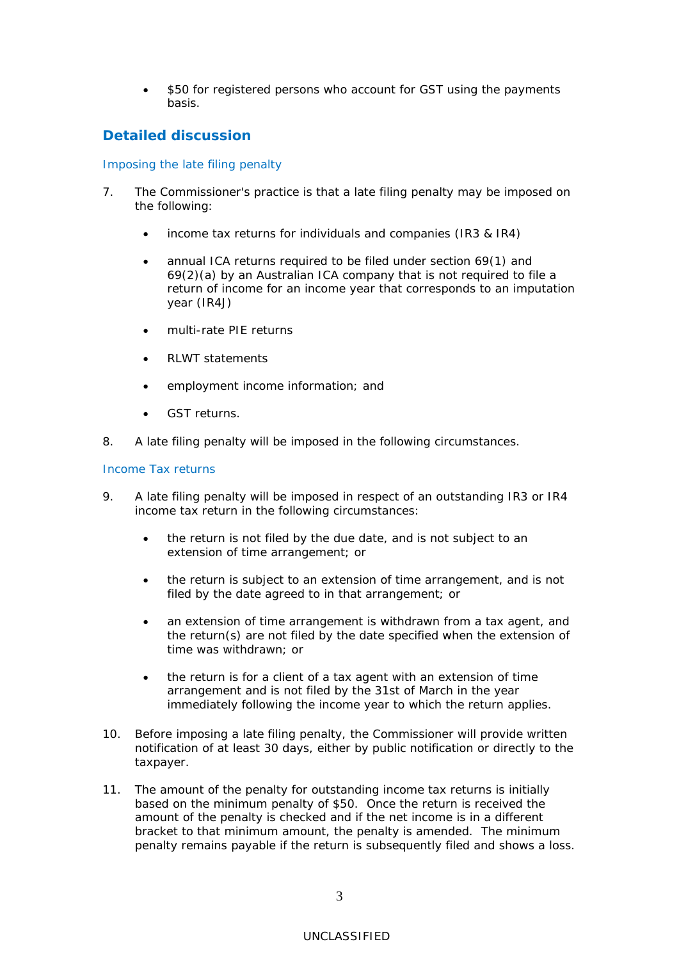\$50 for registered persons who account for GST using the payments basis.

## **Detailed discussion**

### Imposing the late filing penalty

- 7. The Commissioner's practice is that a late filing penalty may be imposed on the following:
	- income tax returns for individuals and companies (IR3 & IR4)
	- annual ICA returns required to be filed under section 69(1) and 69(2)(a) by an Australian ICA company that is not required to file a return of income for an income year that corresponds to an imputation year (IR4J)
	- multi-rate PIE returns
	- RLWT statements
	- employment income information; and
	- GST returns.
- 8. A late filing penalty will be imposed in the following circumstances.

#### Income Tax returns

- 9. A late filing penalty will be imposed in respect of an outstanding IR3 or IR4 income tax return in the following circumstances:
	- the return is not filed by the due date, and is not subject to an extension of time arrangement; or
	- the return is subject to an extension of time arrangement, and is not filed by the date agreed to in that arrangement; or
	- an extension of time arrangement is withdrawn from a tax agent, and the return(s) are not filed by the date specified when the extension of time was withdrawn; or
	- the return is for a client of a tax agent with an extension of time arrangement and is not filed by the 31st of March in the year immediately following the income year to which the return applies.
- 10. Before imposing a late filing penalty, the Commissioner will provide written notification of at least 30 days, either by public notification or directly to the taxpayer.
- 11. The amount of the penalty for outstanding income tax returns is initially based on the minimum penalty of \$50. Once the return is received the amount of the penalty is checked and if the net income is in a different bracket to that minimum amount, the penalty is amended. The minimum penalty remains payable if the return is subsequently filed and shows a loss.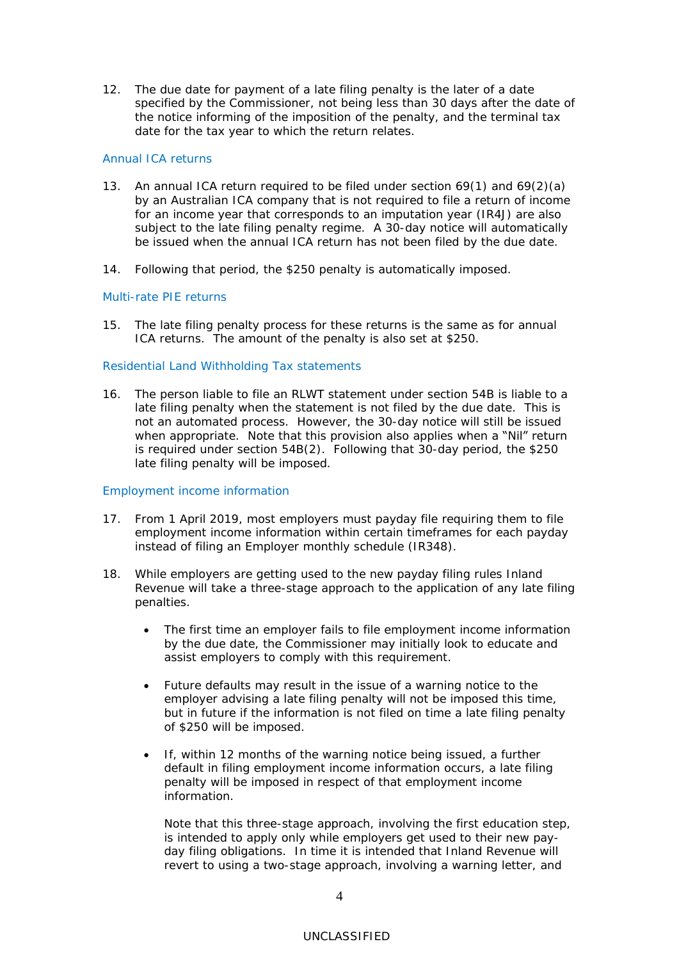12. The due date for payment of a late filing penalty is the later of a date specified by the Commissioner, not being less than 30 days after the date of the notice informing of the imposition of the penalty, and the terminal tax date for the tax year to which the return relates.

#### Annual ICA returns

- 13. An annual ICA return required to be filed under section 69(1) and 69(2)(a) by an Australian ICA company that is not required to file a return of income for an income year that corresponds to an imputation year (IR4J) are also subject to the late filing penalty regime. A 30-day notice will automatically be issued when the annual ICA return has not been filed by the due date.
- 14. Following that period, the \$250 penalty is automatically imposed.

#### Multi-rate PIE returns

15. The late filing penalty process for these returns is the same as for annual ICA returns. The amount of the penalty is also set at \$250.

#### Residential Land Withholding Tax statements

16. The person liable to file an RLWT statement under section 54B is liable to a late filing penalty when the statement is not filed by the due date. This is not an automated process. However, the 30-day notice will still be issued when appropriate. Note that this provision also applies when a "Nil" return is required under section 54B(2). Following that 30-day period, the \$250 late filing penalty will be imposed.

#### Employment income information

- 17. From 1 April 2019, most employers must payday file requiring them to file employment income information within certain timeframes for each payday instead of filing an Employer monthly schedule (IR348).
- 18. While employers are getting used to the new payday filing rules Inland Revenue will take a three-stage approach to the application of any late filing penalties.
	- The first time an employer fails to file employment income information by the due date, the Commissioner may initially look to educate and assist employers to comply with this requirement.
	- Future defaults may result in the issue of a warning notice to the employer advising a late filing penalty will not be imposed this time, but in future if the information is not filed on time a late filing penalty of \$250 will be imposed.
	- If, within 12 months of the warning notice being issued, a further default in filing employment income information occurs, a late filing penalty will be imposed in respect of that employment income information.

Note that this three-stage approach, involving the first education step, is intended to apply only while employers get used to their new payday filing obligations. In time it is intended that Inland Revenue will revert to using a two-stage approach, involving a warning letter, and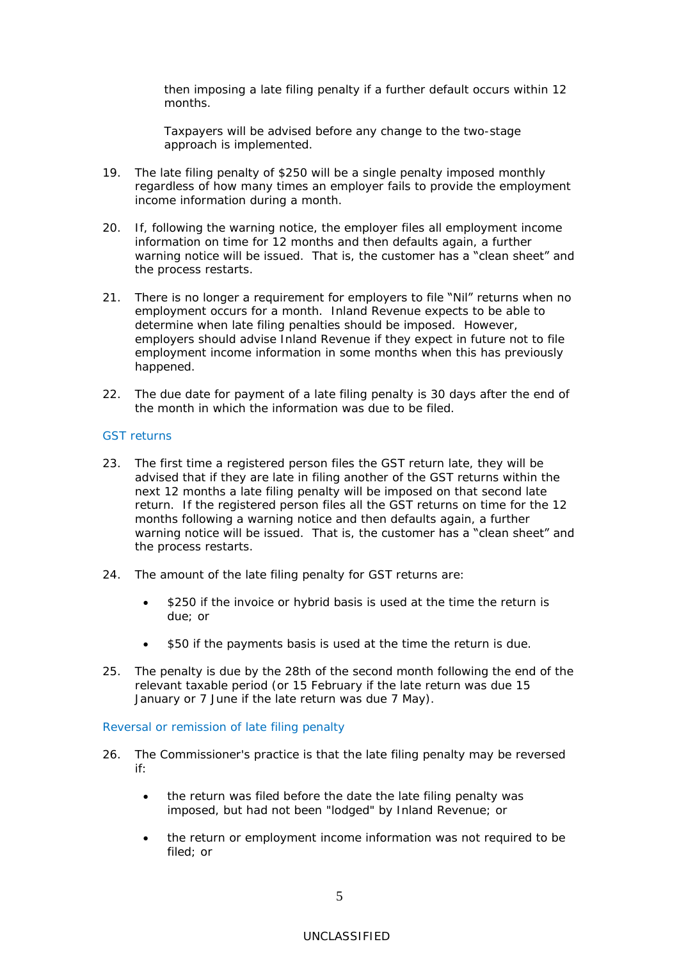then imposing a late filing penalty if a further default occurs within 12 months.

Taxpayers will be advised before any change to the two-stage approach is implemented.

- 19. The late filing penalty of \$250 will be a single penalty imposed monthly regardless of how many times an employer fails to provide the employment income information during a month.
- 20. If, following the warning notice, the employer files all employment income information on time for 12 months and then defaults again, a further warning notice will be issued. That is, the customer has a "clean sheet" and the process restarts.
- 21. There is no longer a requirement for employers to file "Nil" returns when no employment occurs for a month. Inland Revenue expects to be able to determine when late filing penalties should be imposed. However, employers should advise Inland Revenue if they expect in future not to file employment income information in some months when this has previously happened.
- 22. The due date for payment of a late filing penalty is 30 days after the end of the month in which the information was due to be filed.

#### GST returns

- 23. The first time a registered person files the GST return late, they will be advised that if they are late in filing another of the GST returns within the next 12 months a late filing penalty will be imposed on that second late return. If the registered person files all the GST returns on time for the 12 months following a warning notice and then defaults again, a further warning notice will be issued. That is, the customer has a "clean sheet" and the process restarts.
- 24. The amount of the late filing penalty for GST returns are:
	- \$250 if the invoice or hybrid basis is used at the time the return is due; or
	- \$50 if the payments basis is used at the time the return is due.
- 25. The penalty is due by the 28th of the second month following the end of the relevant taxable period (or 15 February if the late return was due 15 January or 7 June if the late return was due 7 May).

#### Reversal or remission of late filing penalty

- 26. The Commissioner's practice is that the late filing penalty may be reversed if:
	- the return was filed before the date the late filing penalty was imposed, but had not been "lodged" by Inland Revenue; or
	- the return or employment income information was not required to be filed; or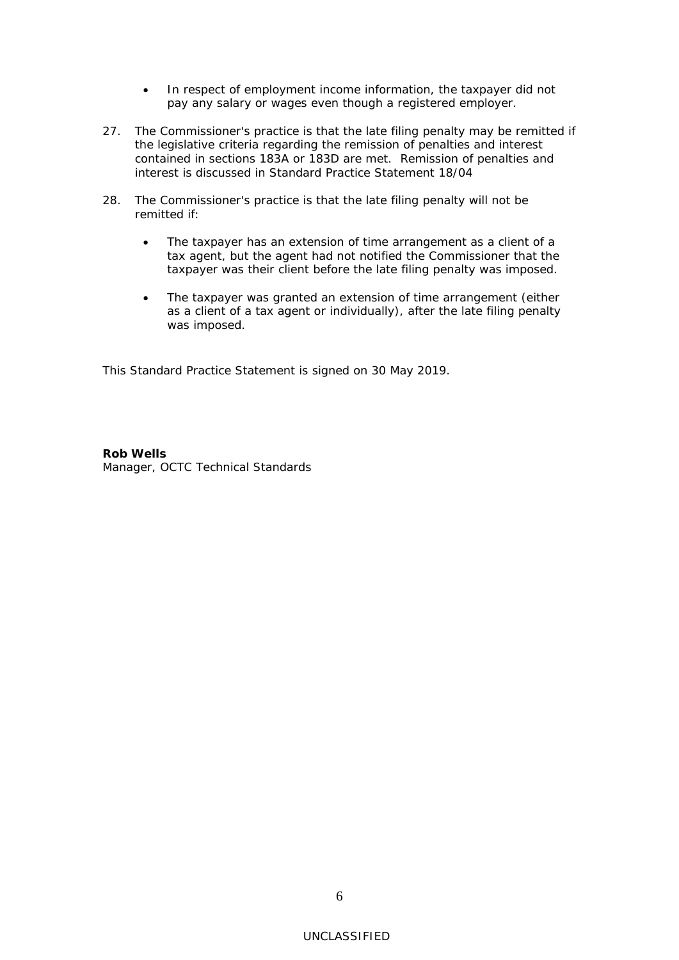- In respect of employment income information, the taxpayer did not pay any salary or wages even though a registered employer.
- 27. The Commissioner's practice is that the late filing penalty may be remitted if the legislative criteria regarding the remission of penalties and interest contained in sections 183A or 183D are met. Remission of penalties and interest is discussed in Standard Practice Statement 18/04
- 28. The Commissioner's practice is that the late filing penalty will not be remitted if:
	- The taxpayer has an extension of time arrangement as a client of a tax agent, but the agent had not notified the Commissioner that the taxpayer was their client before the late filing penalty was imposed.
	- The taxpayer was granted an extension of time arrangement (either as a client of a tax agent or individually), after the late filing penalty was imposed.

This Standard Practice Statement is signed on 30 May 2019.

**Rob Wells** Manager, OCTC Technical Standards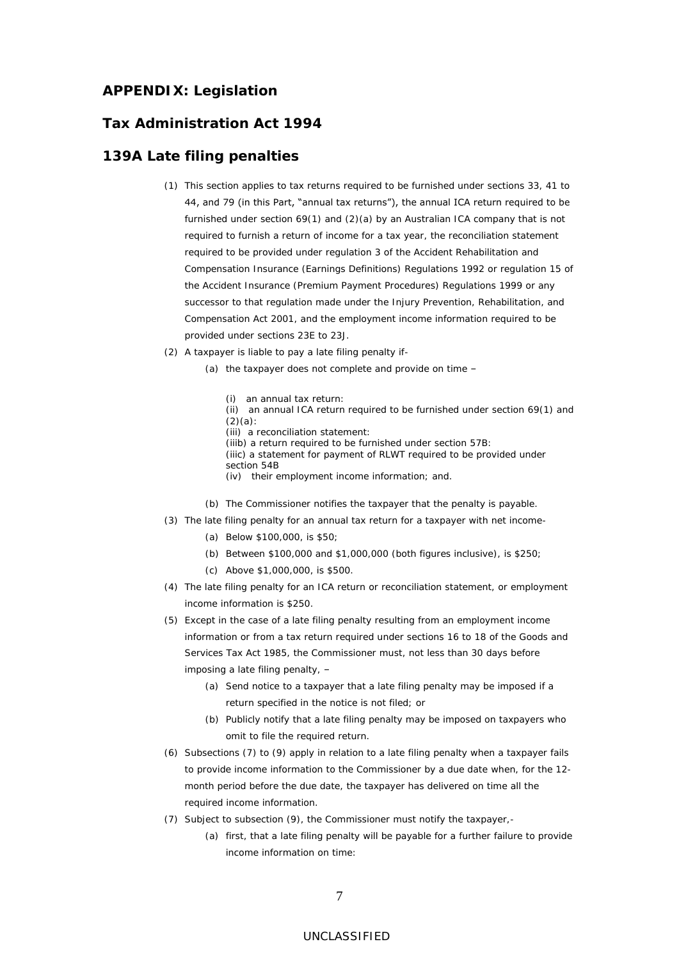## **APPENDIX: Legislation**

### **Tax Administration Act 1994**

## **139A Late filing penalties**

- (1) This section applies to tax returns required to be furnished under sections 33, 41 to 44, and 79 (in this Part, "annual tax returns"), the annual ICA return required to be furnished under section 69(1) and (2)(a) by an Australian ICA company that is not required to furnish a return of income for a tax year, the reconciliation statement required to be provided under regulation 3 of the Accident Rehabilitation and Compensation Insurance (Earnings Definitions) Regulations 1992 or regulation 15 of the Accident Insurance (Premium Payment Procedures) Regulations 1999 or any successor to that regulation made under the Injury Prevention, Rehabilitation, and Compensation Act 2001, and the employment income information required to be provided under sections 23E to 23J.
- (2) A taxpayer is liable to pay a late filing penalty if-
	- (a) the taxpayer does not complete and provide on time
		- (i) an annual tax return:
		- (ii) an annual ICA return required to be furnished under section 69(1) and (2)(a):
		- (iii) a reconciliation statement:
		- (iiib) a return required to be furnished under section 57B:
		- (iiic) a statement for payment of RLWT required to be provided under section 54B
		- (iv) their employment income information; and.
	- (b) The Commissioner notifies the taxpayer that the penalty is payable.
- (3) The late filing penalty for an annual tax return for a taxpayer with net income-
	- (a) Below \$100,000, is \$50;
	- (b) Between \$100,000 and \$1,000,000 (both figures inclusive), is \$250;
	- (c) Above \$1,000,000, is \$500.
- (4) The late filing penalty for an ICA return or reconciliation statement, or employment income information is \$250.
- (5) Except in the case of a late filing penalty resulting from an employment income information or from a tax return required under sections 16 to 18 of the Goods and Services Tax Act 1985, the Commissioner must, not less than 30 days before imposing a late filing penalty, –
	- (a) Send notice to a taxpayer that a late filing penalty may be imposed if a return specified in the notice is not filed; or
	- (b) Publicly notify that a late filing penalty may be imposed on taxpayers who omit to file the required return.
- (6) Subsections (7) to (9) apply in relation to a late filing penalty when a taxpayer fails to provide income information to the Commissioner by a due date when, for the 12 month period before the due date, the taxpayer has delivered on time all the required income information.
- (7) Subject to subsection (9), the Commissioner must notify the taxpayer,-
	- (a) first, that a late filing penalty will be payable for a further failure to provide income information on time:

### UNCLASSIFIED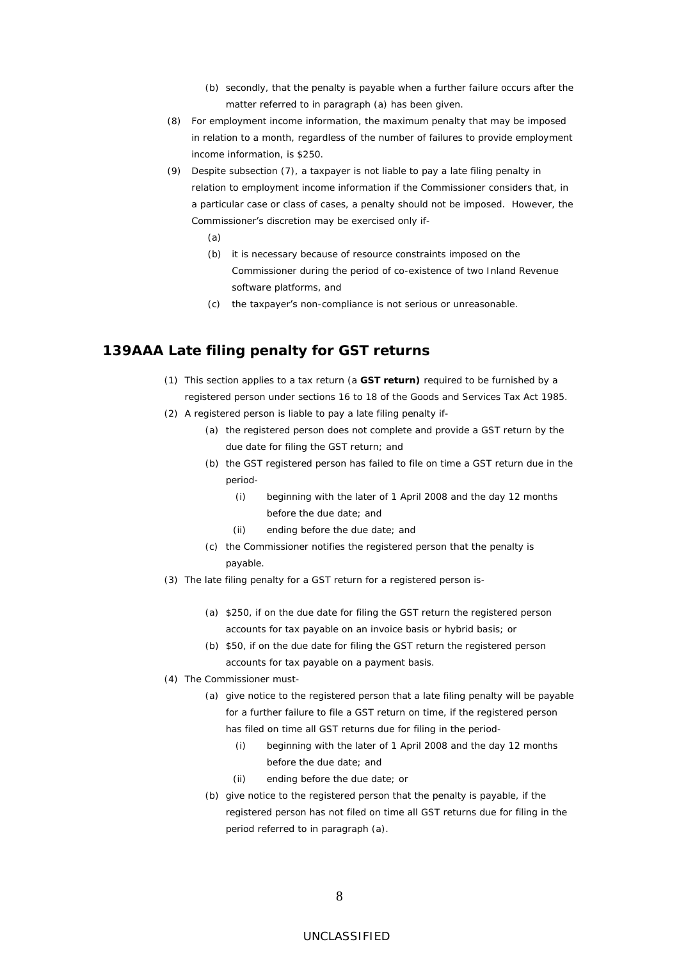- (b) secondly, that the penalty is payable when a further failure occurs after the matter referred to in paragraph (a) has been given.
- (8) For employment income information, the maximum penalty that may be imposed in relation to a month, regardless of the number of failures to provide employment income information, is \$250.
- (9) Despite subsection (7), a taxpayer is not liable to pay a late filing penalty in relation to employment income information if the Commissioner considers that, in a particular case or class of cases, a penalty should not be imposed. However, the Commissioner's discretion may be exercised only if-
	- (a)
	- (b) it is necessary because of resource constraints imposed on the Commissioner during the period of co-existence of two Inland Revenue software platforms, and
	- (c) the taxpayer's non-compliance is not serious or unreasonable.

## **139AAA Late filing penalty for GST returns**

- (1) This section applies to a tax return (a **GST return)** required to be furnished by a registered person under sections 16 to 18 of the Goods and Services Tax Act 1985.
- (2) A registered person is liable to pay a late filing penalty if-
	- (a) the registered person does not complete and provide a GST return by the due date for filing the GST return; and
	- (b) the GST registered person has failed to file on time a GST return due in the period-
		- (i) beginning with the later of 1 April 2008 and the day 12 months before the due date; and
		- (ii) ending before the due date; and
	- (c) the Commissioner notifies the registered person that the penalty is payable.
- (3) The late filing penalty for a GST return for a registered person is-
	- (a) \$250, if on the due date for filing the GST return the registered person accounts for tax payable on an invoice basis or hybrid basis; or
	- (b) \$50, if on the due date for filing the GST return the registered person accounts for tax payable on a payment basis.
- (4) The Commissioner must-
	- (a) give notice to the registered person that a late filing penalty will be payable for a further failure to file a GST return on time, if the registered person has filed on time all GST returns due for filing in the period-
		- (i) beginning with the later of 1 April 2008 and the day 12 months before the due date; and
		- (ii) ending before the due date; or
	- (b) give notice to the registered person that the penalty is payable, if the registered person has not filed on time all GST returns due for filing in the period referred to in paragraph (a).

#### UNCLASSIFIED